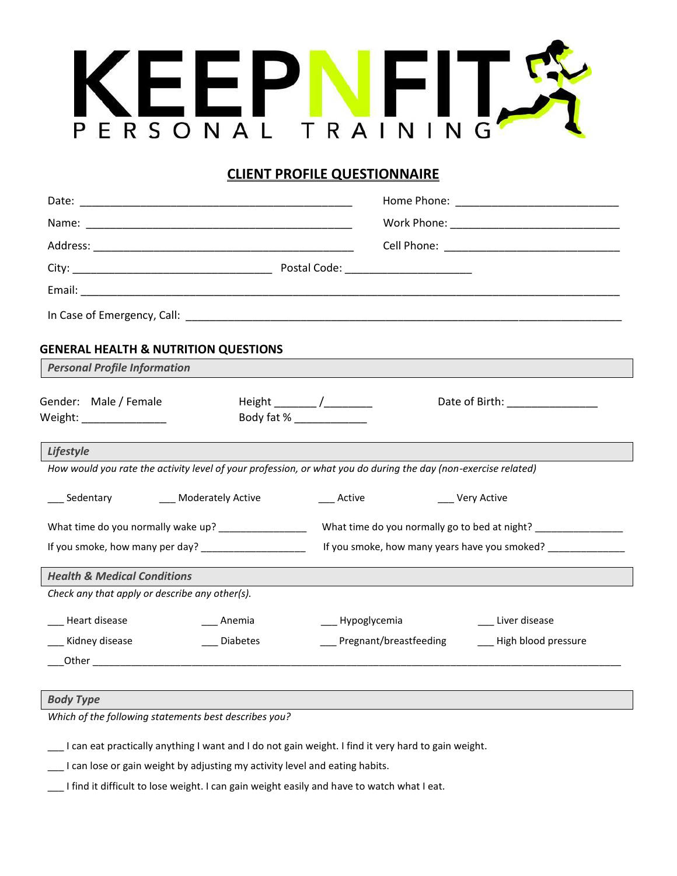

## **CLIENT PROFILE QUESTIONNAIRE**

|                                                    | <b>GENERAL HEALTH &amp; NUTRITION QUESTIONS</b>                                                                |                                                          |                                                                                   |  |
|----------------------------------------------------|----------------------------------------------------------------------------------------------------------------|----------------------------------------------------------|-----------------------------------------------------------------------------------|--|
| <b>Personal Profile Information</b>                |                                                                                                                |                                                          |                                                                                   |  |
| Gender: Male / Female<br>Weight: _________________ |                                                                                                                | Height ________ /___________<br>Body fat % _____________ | Date of Birth: _______________                                                    |  |
| Lifestyle                                          |                                                                                                                |                                                          |                                                                                   |  |
|                                                    | How would you rate the activity level of your profession, or what you do during the day (non-exercise related) |                                                          |                                                                                   |  |
| ___ Sedentary ________ Moderately Active           |                                                                                                                | ___ Active                                               | __ Very Active                                                                    |  |
|                                                    | What time do you normally wake up? _________________                                                           |                                                          | What time do you normally go to bed at night? ___________________________________ |  |
|                                                    | If you smoke, how many per day? ____________________                                                           |                                                          | If you smoke, how many years have you smoked?                                     |  |
| <b>Health &amp; Medical Conditions</b>             |                                                                                                                |                                                          |                                                                                   |  |
| Check any that apply or describe any other(s).     |                                                                                                                |                                                          |                                                                                   |  |
| Heart disease                                      | Anemia                                                                                                         | __ Hypoglycemia                                          | __ Liver disease                                                                  |  |
| __ Kidney disease                                  | <b>Diabetes</b>                                                                                                | __ Pregnant/breastfeeding                                | - High blood pressure                                                             |  |
|                                                    |                                                                                                                |                                                          |                                                                                   |  |
|                                                    |                                                                                                                |                                                          |                                                                                   |  |

## *Body Type*

*Which of the following statements best describes you?*

\_\_\_ I can eat practically anything I want and I do not gain weight. I find it very hard to gain weight.

\_\_\_ I can lose or gain weight by adjusting my activity level and eating habits.

\_\_\_ I find it difficult to lose weight. I can gain weight easily and have to watch what I eat.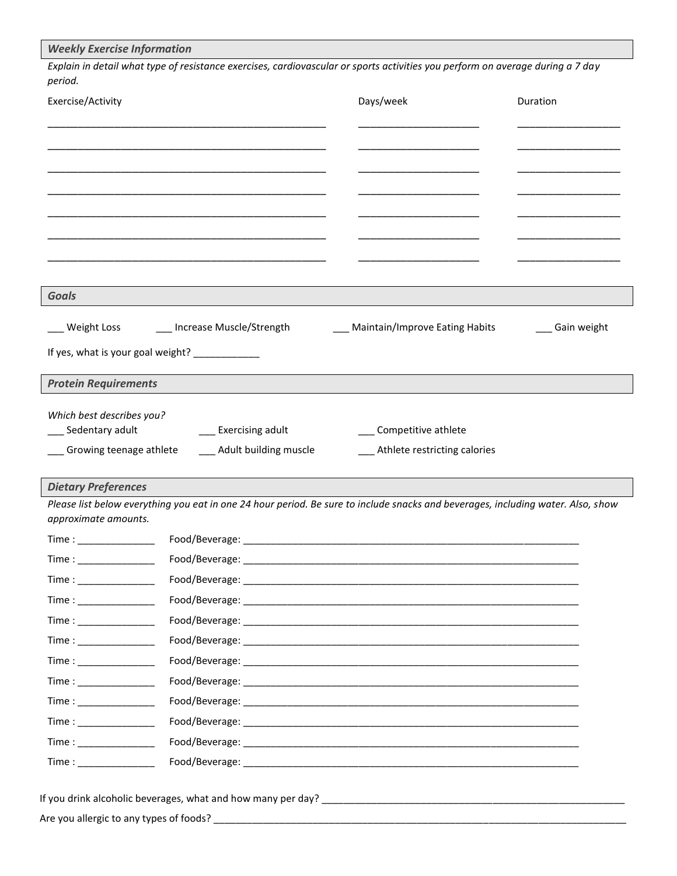| period.                                                                                                                                                                                                                                                                                                                                                                                        |                                                | Explain in detail what type of resistance exercises, cardiovascular or sports activities you perform on average during a 7 day   |                |
|------------------------------------------------------------------------------------------------------------------------------------------------------------------------------------------------------------------------------------------------------------------------------------------------------------------------------------------------------------------------------------------------|------------------------------------------------|----------------------------------------------------------------------------------------------------------------------------------|----------------|
| Exercise/Activity                                                                                                                                                                                                                                                                                                                                                                              |                                                | Days/week                                                                                                                        | Duration       |
|                                                                                                                                                                                                                                                                                                                                                                                                |                                                |                                                                                                                                  |                |
|                                                                                                                                                                                                                                                                                                                                                                                                |                                                |                                                                                                                                  |                |
|                                                                                                                                                                                                                                                                                                                                                                                                |                                                |                                                                                                                                  |                |
|                                                                                                                                                                                                                                                                                                                                                                                                |                                                |                                                                                                                                  |                |
|                                                                                                                                                                                                                                                                                                                                                                                                |                                                |                                                                                                                                  |                |
|                                                                                                                                                                                                                                                                                                                                                                                                |                                                |                                                                                                                                  |                |
| <b>Goals</b>                                                                                                                                                                                                                                                                                                                                                                                   |                                                |                                                                                                                                  |                |
| __ Weight Loss                                                                                                                                                                                                                                                                                                                                                                                 | ___ Increase Muscle/Strength                   | ___ Maintain/Improve Eating Habits                                                                                               | __ Gain weight |
|                                                                                                                                                                                                                                                                                                                                                                                                | If yes, what is your goal weight? ____________ |                                                                                                                                  |                |
| <b>Protein Requirements</b>                                                                                                                                                                                                                                                                                                                                                                    |                                                |                                                                                                                                  |                |
|                                                                                                                                                                                                                                                                                                                                                                                                |                                                |                                                                                                                                  |                |
|                                                                                                                                                                                                                                                                                                                                                                                                |                                                |                                                                                                                                  |                |
| _ Sedentary adult                                                                                                                                                                                                                                                                                                                                                                              | __ Exercising adult                            | Competitive athlete                                                                                                              |                |
|                                                                                                                                                                                                                                                                                                                                                                                                | __ Adult building muscle                       | __ Athlete restricting calories                                                                                                  |                |
|                                                                                                                                                                                                                                                                                                                                                                                                |                                                |                                                                                                                                  |                |
|                                                                                                                                                                                                                                                                                                                                                                                                |                                                | Please list below everything you eat in one 24 hour period. Be sure to include snacks and beverages, including water. Also, show |                |
|                                                                                                                                                                                                                                                                                                                                                                                                |                                                |                                                                                                                                  |                |
|                                                                                                                                                                                                                                                                                                                                                                                                |                                                |                                                                                                                                  |                |
|                                                                                                                                                                                                                                                                                                                                                                                                |                                                |                                                                                                                                  |                |
|                                                                                                                                                                                                                                                                                                                                                                                                |                                                |                                                                                                                                  |                |
|                                                                                                                                                                                                                                                                                                                                                                                                |                                                |                                                                                                                                  |                |
|                                                                                                                                                                                                                                                                                                                                                                                                |                                                |                                                                                                                                  |                |
|                                                                                                                                                                                                                                                                                                                                                                                                |                                                |                                                                                                                                  |                |
|                                                                                                                                                                                                                                                                                                                                                                                                |                                                |                                                                                                                                  |                |
|                                                                                                                                                                                                                                                                                                                                                                                                |                                                |                                                                                                                                  |                |
|                                                                                                                                                                                                                                                                                                                                                                                                |                                                |                                                                                                                                  |                |
| Which best describes you?<br>__ Growing teenage athlete<br><b>Dietary Preferences</b><br>approximate amounts.<br>$Time: \underline{\hspace{1cm}1cm}$<br>$Time: \underline{\hspace{2cm}1cm}$<br>$Time: \underline{\hspace{1cm}1cm}$<br>$Time: \underline{\hspace{1cm}1cm}$<br>$Time: \underline{\hspace{1cm}1cm}$<br>$Time: \underline{\hspace{2cm}1cm}$<br>$Time: \underline{\hspace{2cm}1cm}$ |                                                |                                                                                                                                  |                |

Are you allergic to any types of foods? \_\_\_\_\_\_\_\_\_\_\_\_\_\_\_\_\_\_\_\_\_\_\_\_\_\_\_\_\_\_\_\_\_\_\_\_\_\_\_\_\_\_\_\_\_\_\_\_\_\_\_\_\_\_\_\_\_\_\_\_\_\_\_\_\_\_\_\_\_\_\_\_\_\_\_